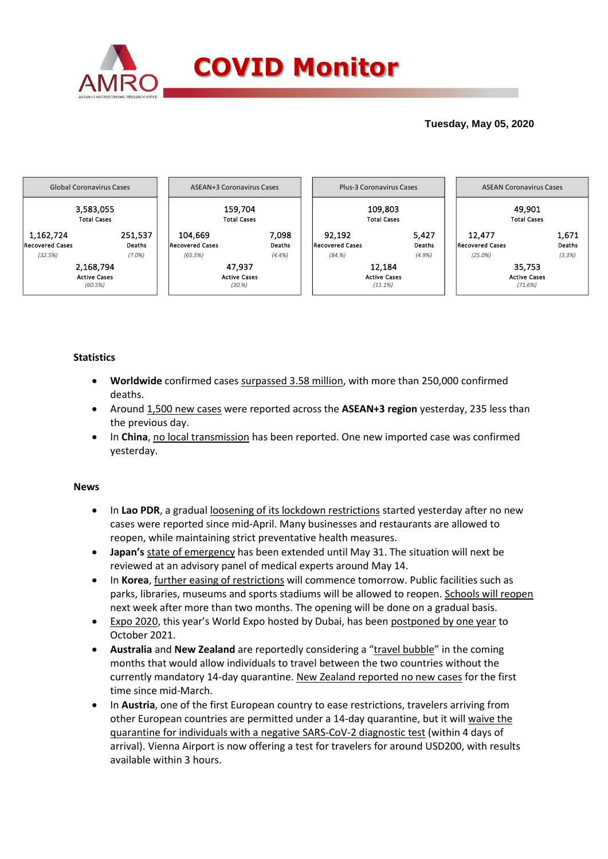

## **Tuesday, May 05, 2020**



### **Statistics**

- **Worldwide** confirmed cases surpassed 3.58 million, with more than 250,000 confirmed deaths.
- Around 1,500 new cases were reported across the **ASEAN+3 region** yesterday, 235 less than the previous day.
- **In China**, no local transmission has been reported. One new imported case was confirmed yesterday.

### **News**

- In Lao PDR, a gradual loosening of its lockdown restrictions started yesterday after no new cases were reported since mid-April. Many businesses and restaurants are allowed to reopen, while maintaining strict preventative health measures.
- **Japan's** state of emergency has been extended until May 31. The situation will next be reviewed at an advisory panel of medical experts around May 14.
- In **Korea**, further easing of restrictions will commence tomorrow. Public facilities such as parks, libraries, museums and sports stadiums will be allowed to reopen. Schools will reopen next week after more than two months. The opening will be done on a gradual basis.
- Expo 2020, this year's World Expo hosted by Dubai, has been postponed by one year to October 2021.
- **Australia** and **New Zealand** are reportedly considering a "travel bubble" in the coming months that would allow individuals to travel between the two countries without the currently mandatory 14-day quarantine. New Zealand reported no new cases for the first time since mid-March.
- In **Austria**, one of the first European country to ease restrictions, travelers arriving from other European countries are permitted under a 14-day quarantine, but it will waive the quarantine for individuals with a negative SARS-CoV-2 diagnostic test (within 4 days of arrival). Vienna Airport is now offering a test for travelers for around USD200, with results available within 3 hours.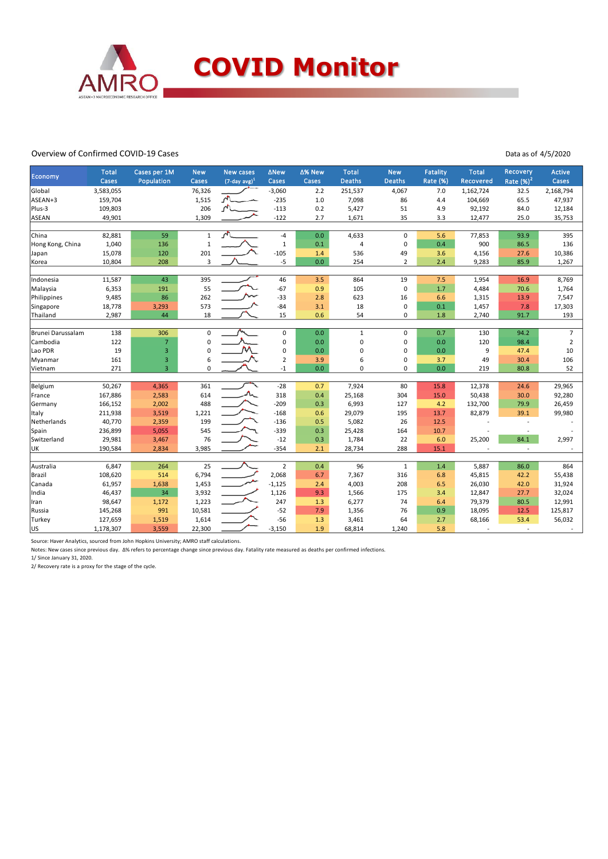

#### Overview of Confirmed COVID-19 Cases

Data as of 4/5/2020

| Economy           | <b>Total</b><br>Cases | Cases per 1M<br>Population | <b>New</b><br>Cases | <b>New cases</b><br>$(7$ -day avg) <sup>1</sup> | <b>ANew</b><br>Cases | ∆% New<br>Cases | <b>Total</b><br><b>Deaths</b> | <b>New</b><br>Deaths | Fatality<br>Rate (%) | <b>Total</b><br>Recovered | Recovery<br>Rate $(%)^2$ | Active<br>Cases |
|-------------------|-----------------------|----------------------------|---------------------|-------------------------------------------------|----------------------|-----------------|-------------------------------|----------------------|----------------------|---------------------------|--------------------------|-----------------|
| Global            | 3,583,055             |                            | 76,326              |                                                 | $-3,060$             | 2.2             | 251,537                       | 4,067                | 7.0                  | 1,162,724                 | 32.5                     | 2,168,794       |
| ASEAN+3           | 159,704               |                            | 1,515               | $\sqrt{1}$                                      | $-235$               | 1.0             | 7,098                         | 86                   | 4.4                  | 104,669                   | 65.5                     | 47,937          |
| Plus-3            | 109,803               |                            | 206                 | $\sqrt{2}$                                      | $-113$               | 0.2             | 5,427                         | 51                   | 4.9                  | 92,192                    | 84.0                     | 12,184          |
| <b>ASEAN</b>      | 49,901                |                            | 1,309               |                                                 | $-122$               | 2.7             | 1,671                         | 35                   | 3.3                  | 12,477                    | 25.0                     | 35,753          |
|                   |                       |                            |                     |                                                 |                      |                 |                               |                      |                      |                           |                          |                 |
| China             | 82,881                | 59                         | $\mathbf{1}$        | $\sqrt{2}$                                      | $-4$                 | 0.0             | 4,633                         | $\mathbf 0$          | 5.6                  | 77,853                    | 93.9                     | 395             |
| Hong Kong, China  | 1,040                 | 136                        | $\mathbf 1$         |                                                 | $\mathbf{1}$         | 0.1             | $\overline{4}$                | $\mathbf 0$          | 0.4                  | 900                       | 86.5                     | 136             |
| Japan             | 15,078                | 120                        | 201                 |                                                 | $-105$               | 1.4             | 536                           | 49                   | 3.6                  | 4,156                     | 27.6                     | 10,386          |
| Korea             | 10,804                | 208                        | 3                   |                                                 | $-5$                 | 0.0             | 254                           | $\overline{2}$       | 2.4                  | 9,283                     | 85.9                     | 1,267           |
|                   |                       |                            |                     |                                                 |                      |                 |                               |                      |                      |                           |                          |                 |
| Indonesia         | 11,587                | 43                         | 395                 |                                                 | 46                   | 3.5             | 864                           | 19                   | 7.5                  | 1,954                     | 16.9                     | 8,769           |
| Malaysia          | 6,353                 | 191                        | 55                  |                                                 | $-67$                | 0.9             | 105                           | $\mathbf 0$          | 1.7                  | 4,484                     | 70.6                     | 1,764           |
| Philippines       | 9,485                 | 86                         | 262                 |                                                 | $-33$                | 2.8             | 623                           | 16                   | 6.6                  | 1,315                     | 13.9                     | 7,547           |
| Singapore         | 18,778                | 3,293                      | 573                 |                                                 | $-84$                | 3.1             | 18                            | $\mathbf 0$          | 0.1                  | 1,457                     | 7.8                      | 17,303          |
| Thailand          | 2,987                 | 44                         | 18                  |                                                 | 15                   | 0.6             | 54                            | 0                    | 1.8                  | 2,740                     | 91.7                     | 193             |
|                   |                       |                            |                     |                                                 |                      |                 |                               |                      |                      |                           |                          |                 |
| Brunei Darussalam | 138                   | 306                        | $\pmb{0}$           |                                                 | $\mathbf 0$          | 0.0             | $\mathbf{1}$                  | $\mathbf 0$          | 0.7                  | 130                       | 94.2                     | $\overline{7}$  |
| Cambodia          | 122                   | $\overline{7}$             | $\pmb{0}$           |                                                 | $\pmb{0}$            | 0.0             | $\mathbf 0$                   | 0                    | 0.0                  | 120                       | 98.4                     | $\overline{2}$  |
| Lao PDR           | 19                    | $\overline{3}$             | 0                   |                                                 | $\mathbf 0$          | 0.0             | $\mathbf 0$                   | $\Omega$             | 0.0                  | 9                         | 47.4                     | 10              |
| Myanmar           | 161                   | $\overline{\mathbf{3}}$    | 6                   |                                                 | $\overline{2}$       | 3.9             | 6                             | 0                    | 3.7                  | 49                        | 30.4                     | 106             |
| Vietnam           | 271                   | $\overline{3}$             | $\mathbf 0$         |                                                 | $-1$                 | 0.0             | $\mathbf 0$                   | 0                    | 0.0                  | 219                       | 80.8                     | 52              |
|                   |                       |                            |                     |                                                 |                      |                 |                               |                      |                      |                           |                          |                 |
| Belgium           | 50,267                | 4,365                      | 361                 |                                                 | $-28$                | 0.7             | 7,924                         | 80                   | 15.8                 | 12,378                    | 24.6                     | 29,965          |
| France            | 167,886               | 2,583                      | 614                 | $\Lambda$                                       | 318                  | 0.4             | 25,168                        | 304                  | 15.0                 | 50,438                    | 30.0                     | 92,280          |
| Germany           | 166,152               | 2,002                      | 488                 |                                                 | $-209$               | 0.3             | 6,993                         | 127                  | 4.2                  | 132,700                   | 79.9                     | 26,459          |
| Italy             | 211,938               | 3,519                      | 1,221               |                                                 | $-168$               | 0.6             | 29,079                        | 195                  | 13.7                 | 82,879                    | 39.1                     | 99,980          |
| Netherlands       | 40,770                | 2,359                      | 199                 |                                                 | $-136$               | 0.5             | 5,082                         | 26                   | 12.5                 |                           |                          |                 |
| Spain             | 236,899               | 5,055                      | 545                 |                                                 | $-339$               | 0.3             | 25,428                        | 164                  | 10.7                 |                           |                          |                 |
| Switzerland       | 29,981                | 3,467                      | 76                  |                                                 | $-12$                | 0.3             | 1,784                         | 22                   | 6.0                  | 25,200                    | 84.1                     | 2,997           |
| UK                | 190,584               | 2,834                      | 3,985               |                                                 | $-354$               | 2.1             | 28,734                        | 288                  | 15.1                 |                           |                          |                 |
|                   |                       |                            |                     |                                                 |                      |                 |                               |                      |                      |                           |                          |                 |
| Australia         | 6,847                 | 264                        | 25                  |                                                 | $\overline{2}$       | 0.4             | 96                            | $\mathbf{1}$         | 1.4                  | 5,887                     | 86.0                     | 864             |
| Brazil            | 108,620               | 514                        | 6,794               |                                                 | 2,068                | 6.7             | 7,367                         | 316                  | 6.8                  | 45,815                    | 42.2                     | 55,438          |
| Canada            | 61,957                | 1,638                      | 1,453               |                                                 | $-1,125$             | 2.4             | 4,003                         | 208                  | 6.5                  | 26,030                    | 42.0                     | 31,924          |
| India             | 46,437                | 34                         | 3,932               |                                                 | 1,126                | 9.3             | 1,566                         | 175                  | 3.4                  | 12,847                    | 27.7                     | 32,024          |
| Iran              | 98,647                | 1,172                      | 1,223               |                                                 | 247                  | 1.3             | 6,277                         | 74                   | 6.4                  | 79,379                    | 80.5                     | 12,991          |
| Russia            | 145,268               | 991                        | 10,581              |                                                 | $-52$                | 7.9             | 1,356                         | 76                   | 0.9                  | 18,095                    | 12.5                     | 125,817         |
| Turkey            | 127,659               | 1,519                      | 1,614               |                                                 | $-56$                | 1.3             | 3,461                         | 64                   | 2.7                  | 68,166                    | 53.4                     | 56,032          |
| lus               | 1,178,307             | 3,559                      | 22,300              |                                                 | $-3,150$             | 1.9             | 68,814                        | 1,240                | 5.8                  |                           |                          |                 |

Source: Haver Analytics, sourced from John Hopkins University; AMRO staff calculations.

Notes: New cases since previous day. Δ% refers to percentage change since previous day. Fatality rate measured as deaths per confirmed infections.

1/ Since January 31, 2020.

2/ Recovery rate is a proxy for the stage of the cycle.